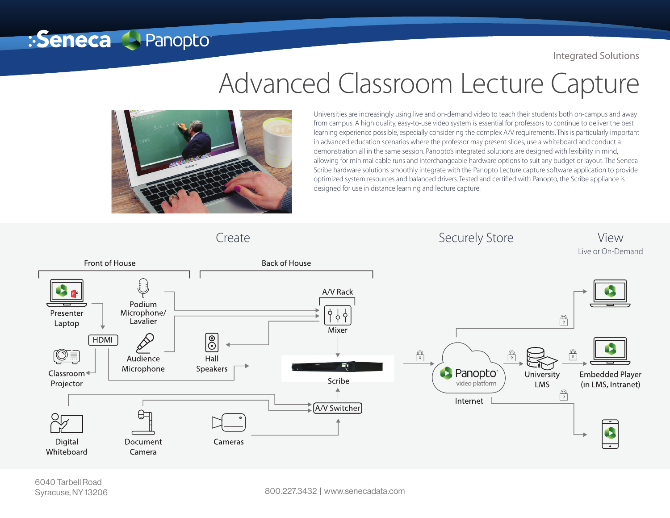Integrated Solutions

## Advanced Classroom Lecture Capture



:Seneca **A Panopto** 

Universities are increasingly using live and on-demand video to teach their students both on-campus and away from campus. A high quality, easy-to-use video system is essential for professors to continue to deliver the best learning experience possible, especially considering the complex A/V requirements. This is particularly important in advanced education scenarios where the professor may present slides, use a whiteboard and conduct a demonstration all in the same session. Panopto's integrated solutions are designed with lexibility in mind, allowing for minimal cable runs and interchangeable hardware options to suit any budget or layout. The Seneca Scribe hardware solutions smoothly integrate with the Panopto Lecture capture software application to provide optimized system resources and balanced drivers. Tested and certified with Panopto, the Scribe appliance is designed for use in distance learning and lecture capture.

Create Create Securely Store Securely Store View



6040 Tarbell Road Syracuse, NY 13206

800.227.3432 | www.senecadata.com